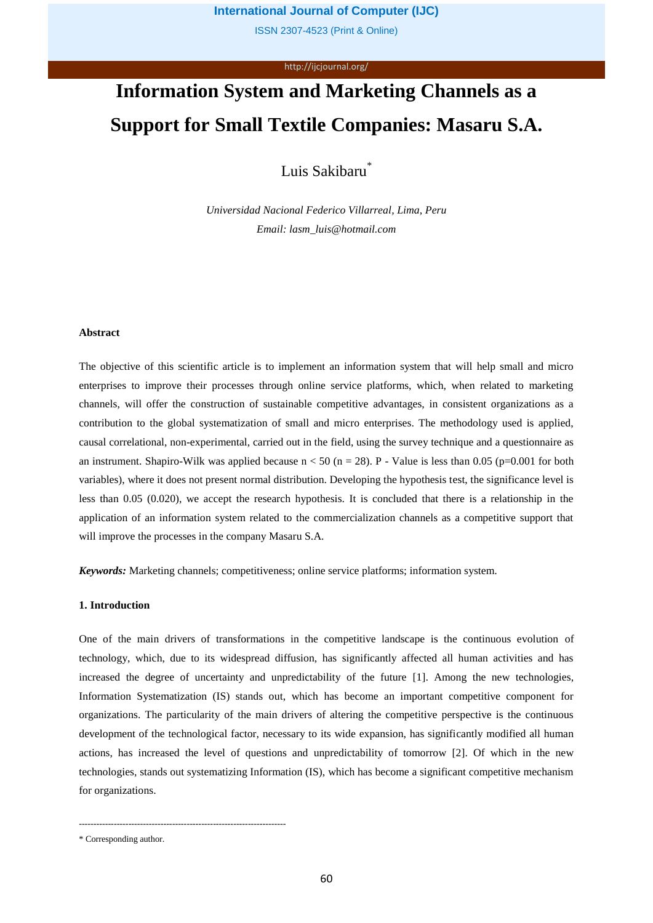ISSN 2307-4523 (Print & Online)

#### http://ijcjournal.org/

# **Information System and Marketing Channels as a Support for Small Textile Companies: Masaru S.A.**

Luis Sakibaru\*

*Universidad Nacional Federico Villarreal, Lima, Peru Email: lasm\_luis@hotmail.com*

## **Abstract**

The objective of this scientific article is to implement an information system that will help small and micro enterprises to improve their processes through online service platforms, which, when related to marketing channels, will offer the construction of sustainable competitive advantages, in consistent organizations as a contribution to the global systematization of small and micro enterprises. The methodology used is applied, causal correlational, non-experimental, carried out in the field, using the survey technique and a questionnaire as an instrument. Shapiro-Wilk was applied because  $n < 50$  (n = 28). P - Value is less than 0.05 (p=0.001 for both variables), where it does not present normal distribution. Developing the hypothesis test, the significance level is less than 0.05 (0.020), we accept the research hypothesis. It is concluded that there is a relationship in the application of an information system related to the commercialization channels as a competitive support that will improve the processes in the company Masaru S.A.

*Keywords:* Marketing channels; competitiveness; online service platforms; information system.

#### **1. Introduction**

One of the main drivers of transformations in the competitive landscape is the continuous evolution of technology, which, due to its widespread diffusion, has significantly affected all human activities and has increased the degree of uncertainty and unpredictability of the future [1]. Among the new technologies, Information Systematization (IS) stands out, which has become an important competitive component for organizations. The particularity of the main drivers of altering the competitive perspective is the continuous development of the technological factor, necessary to its wide expansion, has significantly modified all human actions, has increased the level of questions and unpredictability of tomorrow [2]. Of which in the new technologies, stands out systematizing Information (IS), which has become a significant competitive mechanism for organizations.

-----------------------------------------------------------------------

<sup>\*</sup> Corresponding author.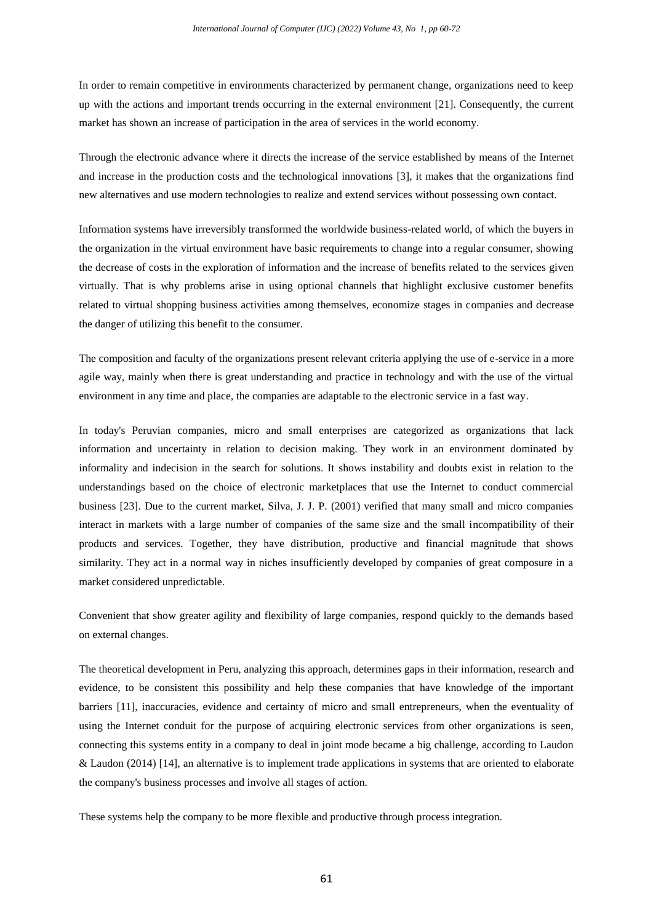In order to remain competitive in environments characterized by permanent change, organizations need to keep up with the actions and important trends occurring in the external environment [21]. Consequently, the current market has shown an increase of participation in the area of services in the world economy.

Through the electronic advance where it directs the increase of the service established by means of the Internet and increase in the production costs and the technological innovations [3], it makes that the organizations find new alternatives and use modern technologies to realize and extend services without possessing own contact.

Information systems have irreversibly transformed the worldwide business-related world, of which the buyers in the organization in the virtual environment have basic requirements to change into a regular consumer, showing the decrease of costs in the exploration of information and the increase of benefits related to the services given virtually. That is why problems arise in using optional channels that highlight exclusive customer benefits related to virtual shopping business activities among themselves, economize stages in companies and decrease the danger of utilizing this benefit to the consumer.

The composition and faculty of the organizations present relevant criteria applying the use of e-service in a more agile way, mainly when there is great understanding and practice in technology and with the use of the virtual environment in any time and place, the companies are adaptable to the electronic service in a fast way.

In today's Peruvian companies, micro and small enterprises are categorized as organizations that lack information and uncertainty in relation to decision making. They work in an environment dominated by informality and indecision in the search for solutions. It shows instability and doubts exist in relation to the understandings based on the choice of electronic marketplaces that use the Internet to conduct commercial business [23]. Due to the current market, Silva, J. J. P. (2001) verified that many small and micro companies interact in markets with a large number of companies of the same size and the small incompatibility of their products and services. Together, they have distribution, productive and financial magnitude that shows similarity. They act in a normal way in niches insufficiently developed by companies of great composure in a market considered unpredictable.

Convenient that show greater agility and flexibility of large companies, respond quickly to the demands based on external changes.

The theoretical development in Peru, analyzing this approach, determines gaps in their information, research and evidence, to be consistent this possibility and help these companies that have knowledge of the important barriers [11], inaccuracies, evidence and certainty of micro and small entrepreneurs, when the eventuality of using the Internet conduit for the purpose of acquiring electronic services from other organizations is seen, connecting this systems entity in a company to deal in joint mode became a big challenge, according to Laudon & Laudon (2014) [14], an alternative is to implement trade applications in systems that are oriented to elaborate the company's business processes and involve all stages of action.

These systems help the company to be more flexible and productive through process integration.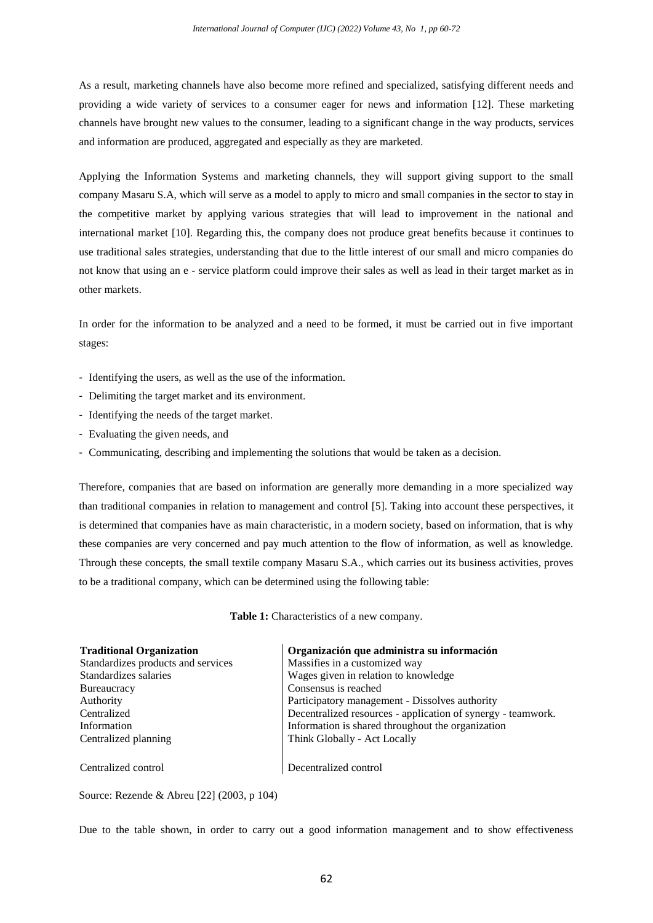As a result, marketing channels have also become more refined and specialized, satisfying different needs and providing a wide variety of services to a consumer eager for news and information [12]. These marketing channels have brought new values to the consumer, leading to a significant change in the way products, services and information are produced, aggregated and especially as they are marketed.

Applying the Information Systems and marketing channels, they will support giving support to the small company Masaru S.A, which will serve as a model to apply to micro and small companies in the sector to stay in the competitive market by applying various strategies that will lead to improvement in the national and international market [10]. Regarding this, the company does not produce great benefits because it continues to use traditional sales strategies, understanding that due to the little interest of our small and micro companies do not know that using an e - service platform could improve their sales as well as lead in their target market as in other markets.

In order for the information to be analyzed and a need to be formed, it must be carried out in five important stages:

- Identifying the users, as well as the use of the information.
- Delimiting the target market and its environment.
- Identifying the needs of the target market.
- Evaluating the given needs, and
- Communicating, describing and implementing the solutions that would be taken as a decision.

Therefore, companies that are based on information are generally more demanding in a more specialized way than traditional companies in relation to management and control [5]. Taking into account these perspectives, it is determined that companies have as main characteristic, in a modern society, based on information, that is why these companies are very concerned and pay much attention to the flow of information, as well as knowledge. Through these concepts, the small textile company Masaru S.A., which carries out its business activities, proves to be a traditional company, which can be determined using the following table:

**Table 1:** Characteristics of a new company.

| <b>Traditional Organization</b>    | Organización que administra su información                   |
|------------------------------------|--------------------------------------------------------------|
| Standardizes products and services | Massifies in a customized way                                |
| Standardizes salaries              | Wages given in relation to knowledge                         |
| Bureaucracy                        | Consensus is reached                                         |
| Authority                          | Participatory management - Dissolves authority               |
| Centralized                        | Decentralized resources - application of synergy - teamwork. |
| Information                        | Information is shared throughout the organization            |
| Centralized planning               | Think Globally - Act Locally                                 |
|                                    |                                                              |
| Centralized control                | Decentralized control                                        |

Source: Rezende & Abreu [22] (2003, p 104)

Due to the table shown, in order to carry out a good information management and to show effectiveness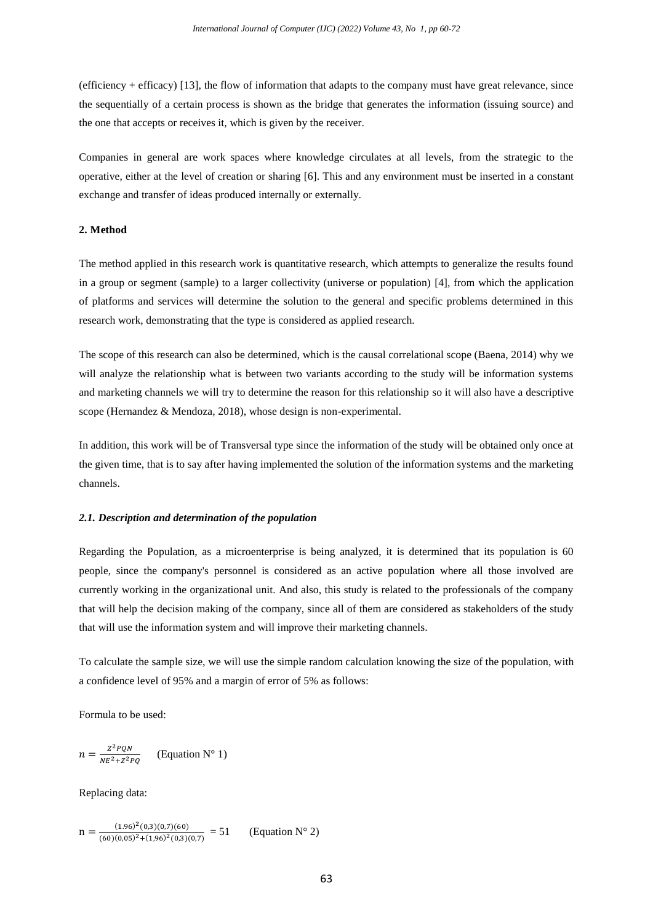(efficiency + efficacy) [13], the flow of information that adapts to the company must have great relevance, since the sequentially of a certain process is shown as the bridge that generates the information (issuing source) and the one that accepts or receives it, which is given by the receiver.

Companies in general are work spaces where knowledge circulates at all levels, from the strategic to the operative, either at the level of creation or sharing [6]. This and any environment must be inserted in a constant exchange and transfer of ideas produced internally or externally.

#### **2. Method**

The method applied in this research work is quantitative research, which attempts to generalize the results found in a group or segment (sample) to a larger collectivity (universe or population) [4], from which the application of platforms and services will determine the solution to the general and specific problems determined in this research work, demonstrating that the type is considered as applied research.

The scope of this research can also be determined, which is the causal correlational scope (Baena, 2014) why we will analyze the relationship what is between two variants according to the study will be information systems and marketing channels we will try to determine the reason for this relationship so it will also have a descriptive scope (Hernandez & Mendoza, 2018), whose design is non-experimental.

In addition, this work will be of Transversal type since the information of the study will be obtained only once at the given time, that is to say after having implemented the solution of the information systems and the marketing channels.

#### *2.1. Description and determination of the population*

Regarding the Population, as a microenterprise is being analyzed, it is determined that its population is 60 people, since the company's personnel is considered as an active population where all those involved are currently working in the organizational unit. And also, this study is related to the professionals of the company that will help the decision making of the company, since all of them are considered as stakeholders of the study that will use the information system and will improve their marketing channels.

To calculate the sample size, we will use the simple random calculation knowing the size of the population, with a confidence level of 95% and a margin of error of 5% as follows:

Formula to be used:

$$
n = \frac{Z^2 PQN}{NE^2 + Z^2 PQ}
$$
 (Equation N° 1)

Replacing data:

$$
n = \frac{(1.96)^2(0,3)(0,7)(60)}{(60)(0,05)^2 + (1,96)^2(0,3)(0,7)} = 51
$$
 (Equation N° 2)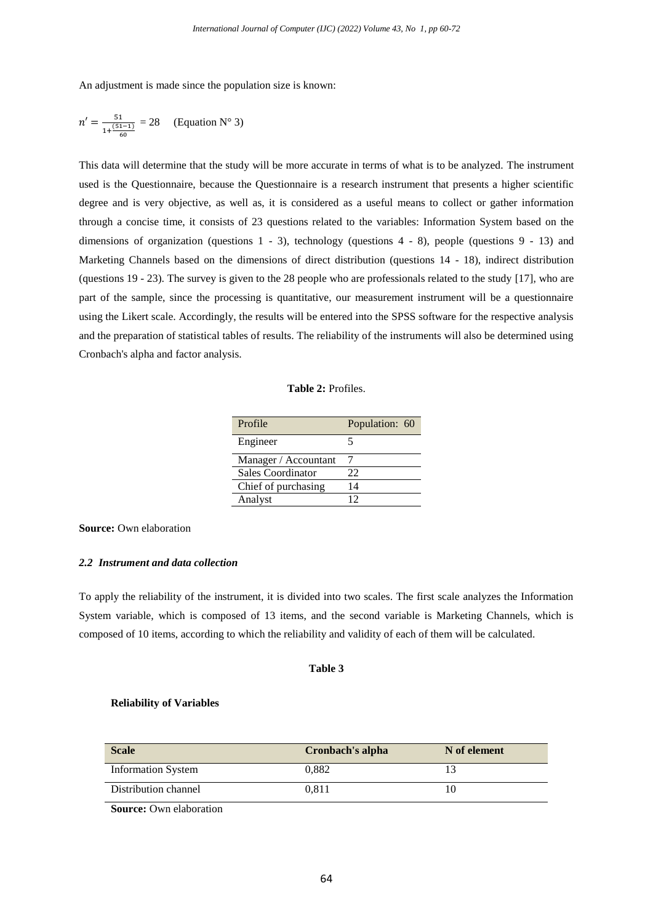An adjustment is made since the population size is known:

$$
n' = \frac{51}{1 + \frac{(51 - 1)}{60}} = 28
$$
 (Equation N° 3)

This data will determine that the study will be more accurate in terms of what is to be analyzed. The instrument used is the Questionnaire, because the Questionnaire is a research instrument that presents a higher scientific degree and is very objective, as well as, it is considered as a useful means to collect or gather information through a concise time, it consists of 23 questions related to the variables: Information System based on the dimensions of organization (questions  $1 - 3$ ), technology (questions  $4 - 8$ ), people (questions  $9 - 13$ ) and Marketing Channels based on the dimensions of direct distribution (questions 14 - 18), indirect distribution (questions 19 - 23). The survey is given to the 28 people who are professionals related to the study [17], who are part of the sample, since the processing is quantitative, our measurement instrument will be a questionnaire using the Likert scale. Accordingly, the results will be entered into the SPSS software for the respective analysis and the preparation of statistical tables of results. The reliability of the instruments will also be determined using Cronbach's alpha and factor analysis.

# **Table 2:** Profiles.

| Profile              | Population: 60 |
|----------------------|----------------|
| Engineer             |                |
| Manager / Accountant |                |
| Sales Coordinator    | 22             |
| Chief of purchasing  | 14             |
| Analyst              | 12             |

**Source:** Own elaboration

#### *2.2 Instrument and data collection*

To apply the reliability of the instrument, it is divided into two scales. The first scale analyzes the Information System variable, which is composed of 13 items, and the second variable is Marketing Channels, which is composed of 10 items, according to which the reliability and validity of each of them will be calculated.

# **Table 3**

#### **Reliability of Variables**

| <b>Scale</b>              | Cronbach's alpha | N of element |
|---------------------------|------------------|--------------|
| <b>Information System</b> | 0.882            |              |
| Distribution channel      | 0.811            |              |

**Source:** Own elaboration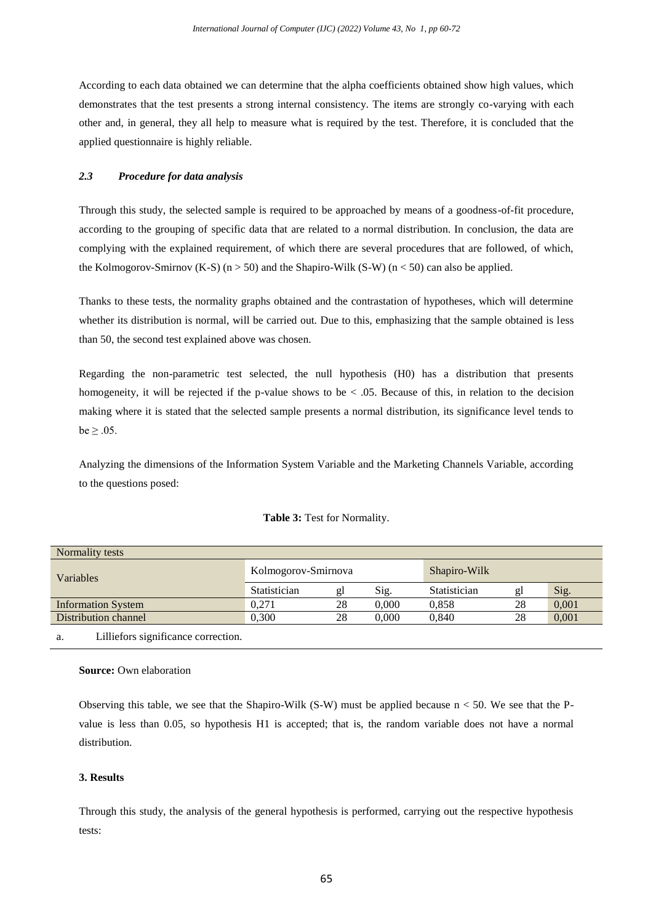According to each data obtained we can determine that the alpha coefficients obtained show high values, which demonstrates that the test presents a strong internal consistency. The items are strongly co-varying with each other and, in general, they all help to measure what is required by the test. Therefore, it is concluded that the applied questionnaire is highly reliable.

# *2.3 Procedure for data analysis*

Through this study, the selected sample is required to be approached by means of a goodness-of-fit procedure, according to the grouping of specific data that are related to a normal distribution. In conclusion, the data are complying with the explained requirement, of which there are several procedures that are followed, of which, the Kolmogorov-Smirnov (K-S) ( $n > 50$ ) and the Shapiro-Wilk (S-W) ( $n < 50$ ) can also be applied.

Thanks to these tests, the normality graphs obtained and the contrastation of hypotheses, which will determine whether its distribution is normal, will be carried out. Due to this, emphasizing that the sample obtained is less than 50, the second test explained above was chosen.

Regarding the non-parametric test selected, the null hypothesis (H0) has a distribution that presents homogeneity, it will be rejected if the p-value shows to be  $\lt$  0.05. Because of this, in relation to the decision making where it is stated that the selected sample presents a normal distribution, its significance level tends to  $be \geq .05$ .

Analyzing the dimensions of the Information System Variable and the Marketing Channels Variable, according to the questions posed:

|  |  | Table 3: Test for Normality. |
|--|--|------------------------------|
|--|--|------------------------------|

| Normality tests           |                     |    |       |              |    |       |
|---------------------------|---------------------|----|-------|--------------|----|-------|
| <b>Variables</b>          | Kolmogorov-Smirnova |    |       | Shapiro-Wilk |    |       |
|                           | Statistician        | gl | Sig.  | Statistician | gl | Sig.  |
| <b>Information System</b> | 0.271               | 28 | 0.000 | 0.858        | 28 | 0,001 |
| Distribution channel      | 0.300               | 28 | 0.000 | 0.840        | 28 | 0,001 |
|                           |                     |    |       |              |    |       |

a. Lilliefors significance correction.

## **Source:** Own elaboration

Observing this table, we see that the Shapiro-Wilk  $(S-W)$  must be applied because  $n < 50$ . We see that the Pvalue is less than 0.05, so hypothesis H1 is accepted; that is, the random variable does not have a normal distribution.

# **3. Results**

Through this study, the analysis of the general hypothesis is performed, carrying out the respective hypothesis tests: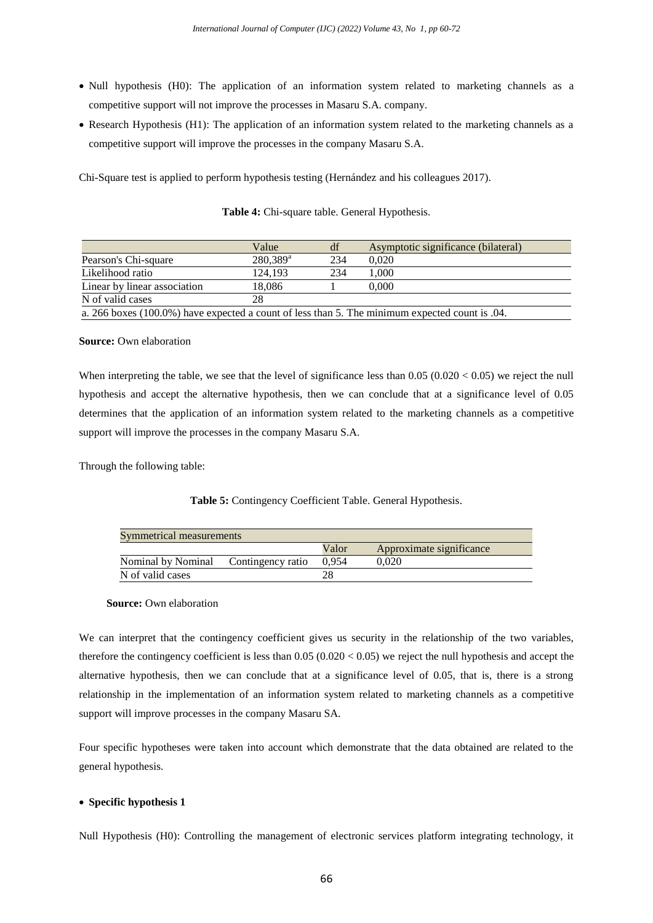- Null hypothesis (H0): The application of an information system related to marketing channels as a competitive support will not improve the processes in Masaru S.A. company.
- Research Hypothesis (H1): The application of an information system related to the marketing channels as a competitive support will improve the processes in the company Masaru S.A.

Chi-Square test is applied to perform hypothesis testing (Hernández and his colleagues 2017).

|                                                                                                 | Value             | df  | Asymptotic significance (bilateral) |  |
|-------------------------------------------------------------------------------------------------|-------------------|-----|-------------------------------------|--|
| Pearson's Chi-square                                                                            | $280,389^{\rm a}$ | 234 | 0.020                               |  |
| Likelihood ratio                                                                                | 124.193           | 234 | 000.1                               |  |
| Linear by linear association                                                                    | 18.086            |     | 0.000                               |  |
| N of valid cases                                                                                | 28                |     |                                     |  |
| a. 266 boxes (100.0%) have expected a count of less than 5. The minimum expected count is 0.04. |                   |     |                                     |  |

|  |  |  |  | Table 4: Chi-square table. General Hypothesis. |
|--|--|--|--|------------------------------------------------|
|--|--|--|--|------------------------------------------------|

#### **Source:** Own elaboration

When interpreting the table, we see that the level of significance less than  $0.05 (0.020 < 0.05)$  we reject the null hypothesis and accept the alternative hypothesis, then we can conclude that at a significance level of 0.05 determines that the application of an information system related to the marketing channels as a competitive support will improve the processes in the company Masaru S.A.

Through the following table:

## **Table 5:** Contingency Coefficient Table. General Hypothesis.

| Symmetrical measurements |                   |       |                          |  |
|--------------------------|-------------------|-------|--------------------------|--|
|                          |                   | Valor | Approximate significance |  |
| Nominal by Nominal       | Contingency ratio | 0.954 | 0.020                    |  |
| N of valid cases         |                   |       |                          |  |

 **Source:** Own elaboration

We can interpret that the contingency coefficient gives us security in the relationship of the two variables, therefore the contingency coefficient is less than  $0.05 (0.020 < 0.05)$  we reject the null hypothesis and accept the alternative hypothesis, then we can conclude that at a significance level of 0.05, that is, there is a strong relationship in the implementation of an information system related to marketing channels as a competitive support will improve processes in the company Masaru SA.

Four specific hypotheses were taken into account which demonstrate that the data obtained are related to the general hypothesis.

#### **Specific hypothesis 1**

Null Hypothesis (H0): Controlling the management of electronic services platform integrating technology, it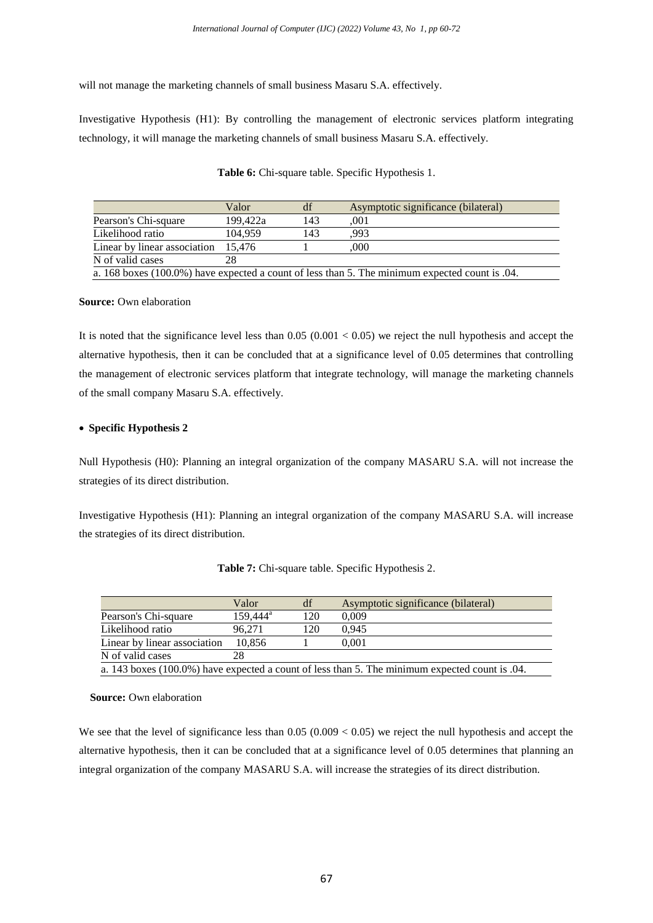will not manage the marketing channels of small business Masaru S.A. effectively.

Investigative Hypothesis (H1): By controlling the management of electronic services platform integrating technology, it will manage the marketing channels of small business Masaru S.A. effectively.

|                                                                                                 | Valor    | df  | Asymptotic significance (bilateral) |  |
|-------------------------------------------------------------------------------------------------|----------|-----|-------------------------------------|--|
| Pearson's Chi-square                                                                            | 199.422a | 143 | .001                                |  |
| Likelihood ratio                                                                                | 104.959  | 143 | .993                                |  |
| Linear by linear association                                                                    | 15.476   |     | .000                                |  |
| N of valid cases                                                                                |          |     |                                     |  |
| a. 168 boxes (100.0%) have expected a count of less than 5. The minimum expected count is 0.04. |          |     |                                     |  |

**Table 6:** Chi-square table. Specific Hypothesis 1.

#### **Source:** Own elaboration

It is noted that the significance level less than  $0.05$  ( $0.001 < 0.05$ ) we reject the null hypothesis and accept the alternative hypothesis, then it can be concluded that at a significance level of 0.05 determines that controlling the management of electronic services platform that integrate technology, will manage the marketing channels of the small company Masaru S.A. effectively.

# **Specific Hypothesis 2**

Null Hypothesis (H0): Planning an integral organization of the company MASARU S.A. will not increase the strategies of its direct distribution.

Investigative Hypothesis (H1): Planning an integral organization of the company MASARU S.A. will increase the strategies of its direct distribution.

|                                                                                                | Valor             | df  | Asymptotic significance (bilateral) |  |
|------------------------------------------------------------------------------------------------|-------------------|-----|-------------------------------------|--|
| Pearson's Chi-square                                                                           | $159.444^{\circ}$ | 120 | 0.009                               |  |
| Likelihood ratio                                                                               | 96.271            | 120 | 0.945                               |  |
| Linear by linear association                                                                   | 10.856            |     | 0.001                               |  |
| N of valid cases                                                                               | 28                |     |                                     |  |
| a. 143 boxes (100.0%) have expected a count of less than 5. The minimum expected count is .04. |                   |     |                                     |  |

**Table 7:** Chi-square table. Specific Hypothesis 2.

 **Source:** Own elaboration

We see that the level of significance less than  $0.05$  ( $0.009 < 0.05$ ) we reject the null hypothesis and accept the alternative hypothesis, then it can be concluded that at a significance level of 0.05 determines that planning an integral organization of the company MASARU S.A. will increase the strategies of its direct distribution.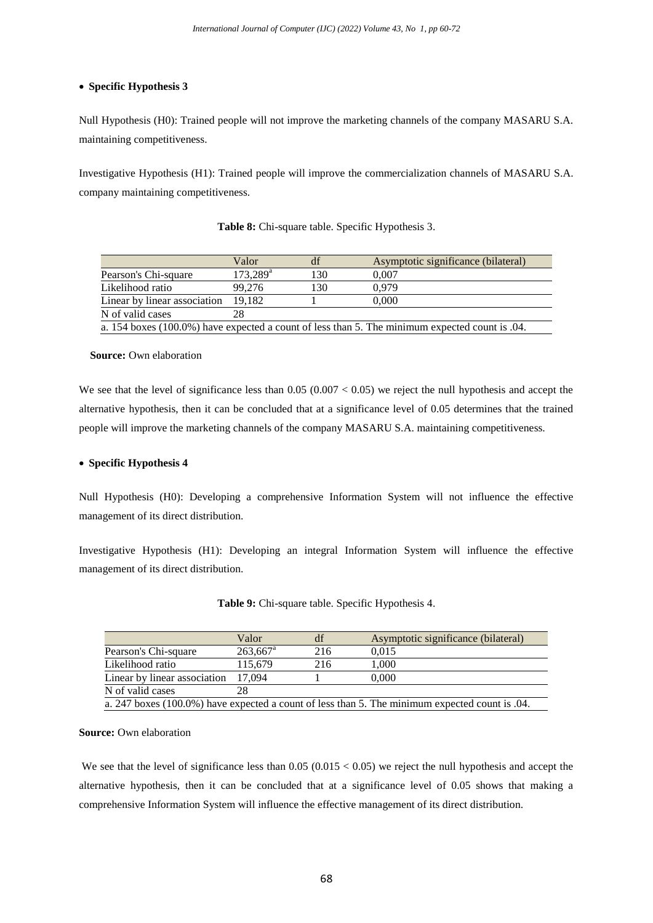# **Specific Hypothesis 3**

Null Hypothesis (H0): Trained people will not improve the marketing channels of the company MASARU S.A. maintaining competitiveness.

Investigative Hypothesis (H1): Trained people will improve the commercialization channels of MASARU S.A. company maintaining competitiveness.

|                                                                                                | Valor             |     | Asymptotic significance (bilateral) |  |
|------------------------------------------------------------------------------------------------|-------------------|-----|-------------------------------------|--|
| Pearson's Chi-square                                                                           | $173,289^{\rm a}$ | 130 | 0.007                               |  |
| Likelihood ratio                                                                               | 99.276            | 130 | 0.979                               |  |
| Linear by linear association                                                                   | 19.182            |     | 0.000                               |  |
| N of valid cases                                                                               | 28                |     |                                     |  |
| a. 154 boxes (100.0%) have expected a count of less than 5. The minimum expected count is .04. |                   |     |                                     |  |

**Table 8:** Chi-square table. Specific Hypothesis 3.

#### **Source:** Own elaboration

We see that the level of significance less than  $0.05$  ( $0.007 < 0.05$ ) we reject the null hypothesis and accept the alternative hypothesis, then it can be concluded that at a significance level of 0.05 determines that the trained people will improve the marketing channels of the company MASARU S.A. maintaining competitiveness.

# **Specific Hypothesis 4**

Null Hypothesis (H0): Developing a comprehensive Information System will not influence the effective management of its direct distribution.

Investigative Hypothesis (H1): Developing an integral Information System will influence the effective management of its direct distribution.

|                              | Valor                  | df  | Asymptotic significance (bilateral)                                                                 |
|------------------------------|------------------------|-----|-----------------------------------------------------------------------------------------------------|
| Pearson's Chi-square         | $263.667$ <sup>a</sup> | 216 | 0.015                                                                                               |
| Likelihood ratio             | 115.679                | 216 | 1.000                                                                                               |
| Linear by linear association | 17.094                 |     | 0.000                                                                                               |
| N of valid cases             |                        |     |                                                                                                     |
|                              |                        |     | $\sim 0.47$ keeps (100.00) keep consisted a count of less than F. The minimum consisted count is 04 |

| Table 9: Chi-square table. Specific Hypothesis 4. |  |  |
|---------------------------------------------------|--|--|
|---------------------------------------------------|--|--|

a. 247 boxes (100.0%) have expected a count of less than 5. The minimum expected count is .04.

# **Source:** Own elaboration

We see that the level of significance less than  $0.05 (0.015 < 0.05)$  we reject the null hypothesis and accept the alternative hypothesis, then it can be concluded that at a significance level of 0.05 shows that making a comprehensive Information System will influence the effective management of its direct distribution.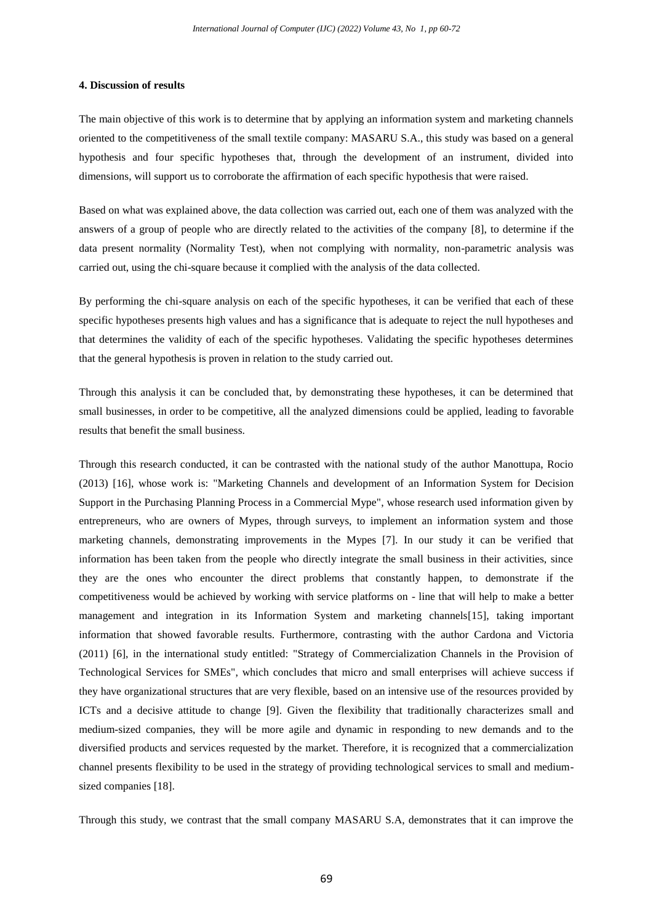#### **4. Discussion of results**

The main objective of this work is to determine that by applying an information system and marketing channels oriented to the competitiveness of the small textile company: MASARU S.A., this study was based on a general hypothesis and four specific hypotheses that, through the development of an instrument, divided into dimensions, will support us to corroborate the affirmation of each specific hypothesis that were raised.

Based on what was explained above, the data collection was carried out, each one of them was analyzed with the answers of a group of people who are directly related to the activities of the company [8], to determine if the data present normality (Normality Test), when not complying with normality, non-parametric analysis was carried out, using the chi-square because it complied with the analysis of the data collected.

By performing the chi-square analysis on each of the specific hypotheses, it can be verified that each of these specific hypotheses presents high values and has a significance that is adequate to reject the null hypotheses and that determines the validity of each of the specific hypotheses. Validating the specific hypotheses determines that the general hypothesis is proven in relation to the study carried out.

Through this analysis it can be concluded that, by demonstrating these hypotheses, it can be determined that small businesses, in order to be competitive, all the analyzed dimensions could be applied, leading to favorable results that benefit the small business.

Through this research conducted, it can be contrasted with the national study of the author Manottupa, Rocio (2013) [16], whose work is: "Marketing Channels and development of an Information System for Decision Support in the Purchasing Planning Process in a Commercial Mype", whose research used information given by entrepreneurs, who are owners of Mypes, through surveys, to implement an information system and those marketing channels, demonstrating improvements in the Mypes [7]. In our study it can be verified that information has been taken from the people who directly integrate the small business in their activities, since they are the ones who encounter the direct problems that constantly happen, to demonstrate if the competitiveness would be achieved by working with service platforms on - line that will help to make a better management and integration in its Information System and marketing channels[15], taking important information that showed favorable results. Furthermore, contrasting with the author Cardona and Victoria (2011) [6], in the international study entitled: "Strategy of Commercialization Channels in the Provision of Technological Services for SMEs", which concludes that micro and small enterprises will achieve success if they have organizational structures that are very flexible, based on an intensive use of the resources provided by ICTs and a decisive attitude to change [9]. Given the flexibility that traditionally characterizes small and medium-sized companies, they will be more agile and dynamic in responding to new demands and to the diversified products and services requested by the market. Therefore, it is recognized that a commercialization channel presents flexibility to be used in the strategy of providing technological services to small and mediumsized companies [18].

Through this study, we contrast that the small company MASARU S.A, demonstrates that it can improve the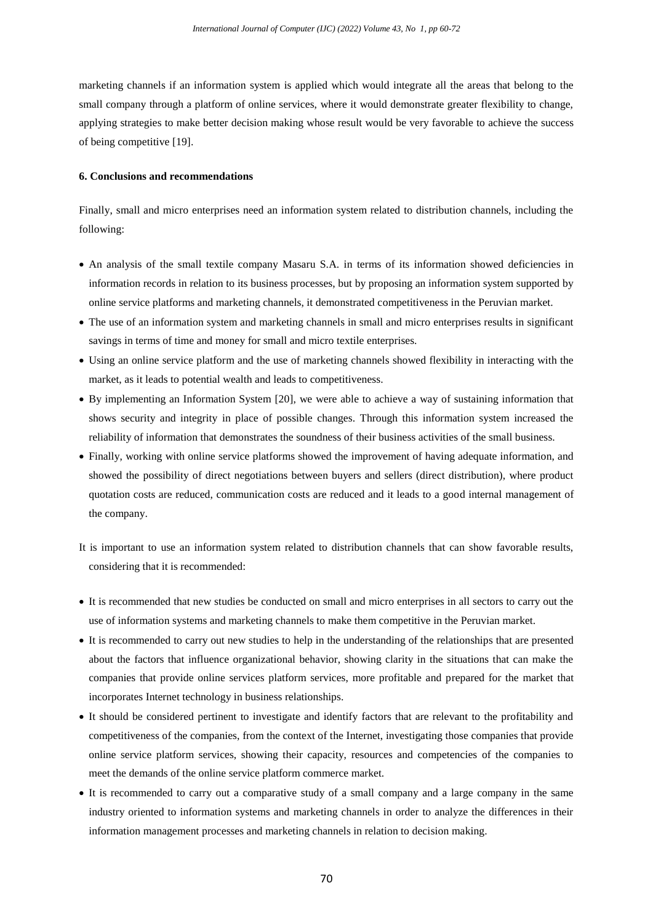marketing channels if an information system is applied which would integrate all the areas that belong to the small company through a platform of online services, where it would demonstrate greater flexibility to change, applying strategies to make better decision making whose result would be very favorable to achieve the success of being competitive [19].

# **6. Conclusions and recommendations**

Finally, small and micro enterprises need an information system related to distribution channels, including the following:

- An analysis of the small textile company Masaru S.A. in terms of its information showed deficiencies in information records in relation to its business processes, but by proposing an information system supported by online service platforms and marketing channels, it demonstrated competitiveness in the Peruvian market.
- The use of an information system and marketing channels in small and micro enterprises results in significant savings in terms of time and money for small and micro textile enterprises.
- Using an online service platform and the use of marketing channels showed flexibility in interacting with the market, as it leads to potential wealth and leads to competitiveness.
- By implementing an Information System [20], we were able to achieve a way of sustaining information that shows security and integrity in place of possible changes. Through this information system increased the reliability of information that demonstrates the soundness of their business activities of the small business.
- Finally, working with online service platforms showed the improvement of having adequate information, and showed the possibility of direct negotiations between buyers and sellers (direct distribution), where product quotation costs are reduced, communication costs are reduced and it leads to a good internal management of the company.
- It is important to use an information system related to distribution channels that can show favorable results, considering that it is recommended:
- It is recommended that new studies be conducted on small and micro enterprises in all sectors to carry out the use of information systems and marketing channels to make them competitive in the Peruvian market.
- It is recommended to carry out new studies to help in the understanding of the relationships that are presented about the factors that influence organizational behavior, showing clarity in the situations that can make the companies that provide online services platform services, more profitable and prepared for the market that incorporates Internet technology in business relationships.
- It should be considered pertinent to investigate and identify factors that are relevant to the profitability and competitiveness of the companies, from the context of the Internet, investigating those companies that provide online service platform services, showing their capacity, resources and competencies of the companies to meet the demands of the online service platform commerce market.
- It is recommended to carry out a comparative study of a small company and a large company in the same industry oriented to information systems and marketing channels in order to analyze the differences in their information management processes and marketing channels in relation to decision making.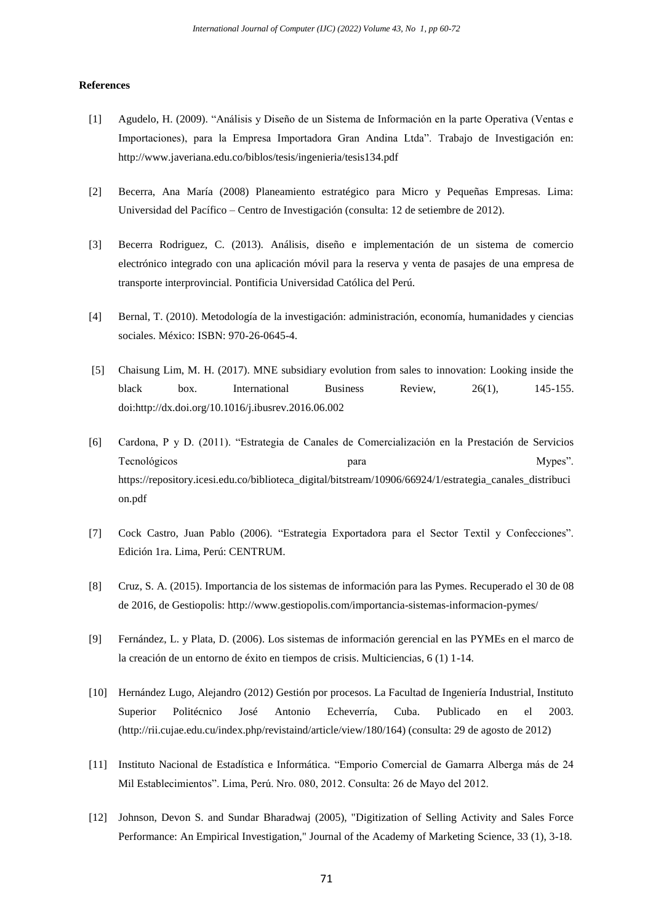#### **References**

- [1] Agudelo, H. (2009). "Análisis y Diseño de un Sistema de Información en la parte Operativa (Ventas e Importaciones), para la Empresa Importadora Gran Andina Ltda". Trabajo de Investigación en: <http://www.javeriana.edu.co/biblos/tesis/ingenieria/tesis134.pdf>
- [2] Becerra, Ana María (2008) Planeamiento estratégico para Micro y Pequeñas Empresas. Lima: Universidad del Pacífico – Centro de Investigación (consulta: 12 de setiembre de 2012).
- [3] Becerra Rodriguez, C. (2013). Análisis, diseño e implementación de un sistema de comercio electrónico integrado con una aplicación móvil para la reserva y venta de pasajes de una empresa de transporte interprovincial. Pontificia Universidad Católica del Perú.
- [4] Bernal, T. (2010). Metodología de la investigación: administración, economía, humanidades y ciencias sociales. México: ISBN: 970-26-0645-4.
- [5] Chaisung Lim, M. H. (2017). MNE subsidiary evolution from sales to innovation: Looking inside the black box. International Business Review, 26(1), 145-155. doi:http://dx.doi.org/10.1016/j.ibusrev.2016.06.002
- [6] Cardona, P y D. (2011). "Estrategia de Canales de Comercialización en la Prestación de Servicios Tecnológicos **para para media de la para de la para de la para de la para de la para de la para de la para de la para de la para de la para de la para de la para de la para de la para de la para de la para de la para de la** [https://repository.icesi.edu.co/biblioteca\\_digital/bitstream/10906/66924/1/estrategia\\_canales\\_distribuci](https://repository.icesi.edu.co/biblioteca_digital/bitstream/10906/66924/1/estrategia_canales_distribucion.pdf) [on.pdf](https://repository.icesi.edu.co/biblioteca_digital/bitstream/10906/66924/1/estrategia_canales_distribucion.pdf)
- [7] Cock Castro, Juan Pablo (2006). "Estrategia Exportadora para el Sector Textil y Confecciones". Edición 1ra. Lima, Perú: CENTRUM.
- [8] Cruz, S. A. (2015). Importancia de los sistemas de información para las Pymes. Recuperado el 30 de 08 de 2016, de Gestiopolis[: http://www.gestiopolis.com/importancia-sistemas-informacion-pymes/](http://www.gestiopolis.com/importancia-sistemas-informacion-pymes/)
- [9] Fernández, L. y Plata, D. (2006). Los sistemas de información gerencial en las PYMEs en el marco de la creación de un entorno de éxito en tiempos de crisis. Multiciencias, 6 (1) 1-14.
- [10] Hernández Lugo, Alejandro (2012) Gestión por procesos. La Facultad de Ingeniería Industrial, Instituto Superior Politécnico José Antonio Echeverría, Cuba. Publicado en el 2003. (http://rii.cujae.edu.cu/index.php/revistaind/article/view/180/164) (consulta: 29 de agosto de 2012)
- [11] Instituto Nacional de Estadística e Informática. "Emporio Comercial de Gamarra Alberga más de 24 Mil Establecimientos". Lima, Perú. Nro. 080, 2012. Consulta: 26 de Mayo del 2012.
- [12] Johnson, Devon S. and Sundar Bharadwaj (2005), "Digitization of Selling Activity and Sales Force Performance: An Empirical Investigation," Journal of the Academy of Marketing Science, 33 (1), 3-18.